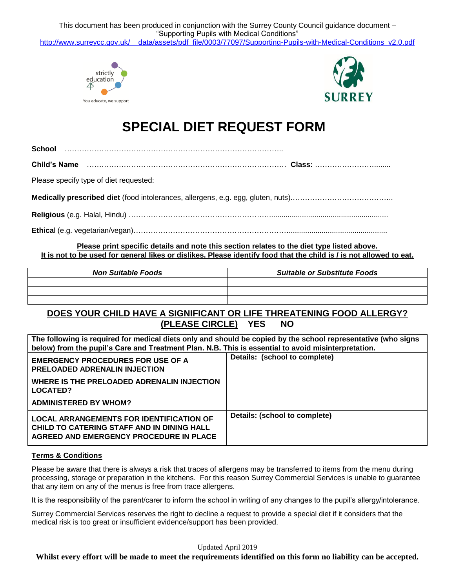This document has been produced in conjunction with the Surrey County Council guidance document – "Supporting Pupils with Medical Conditions" [http://www.surreycc.gov.uk/\\_\\_data/assets/pdf\\_file/0003/77097/Supporting-Pupils-with-Medical-Conditions\\_v2.0.pdf](http://www.surreycc.gov.uk/__data/assets/pdf_file/0003/77097/Supporting-Pupils-with-Medical-Conditions_v2.0.pdf)





# **SPECIAL DIET REQUEST FORM**

**School** ……………………………………………………………………………..

**Child's Name** ……………………………………………………………………… **Class:** ……………………........

Please specify type of diet requested:

**Medically prescribed diet** (food intolerances, allergens, e.g. egg, gluten, nuts).…………………………………..

**Religious** (e.g. Halal, Hindu) …………………………………………………..........................................................

**Ethica**l (e.g. vegetarian/vegan)………………………………………………………................................................

**Please print specific details and note this section relates to the diet type listed above. It is not to be used for general likes or dislikes. Please identify food that the child is / is not allowed to eat.**

| <b>Non Suitable Foods</b> | <b>Suitable or Substitute Foods</b> |  |
|---------------------------|-------------------------------------|--|
|                           |                                     |  |
|                           |                                     |  |
|                           |                                     |  |

## **DOES YOUR CHILD HAVE A SIGNIFICANT OR LIFE THREATENING FOOD ALLERGY? (PLEASE CIRCLE) YES NO**

**The following is required for medical diets only and should be copied by the school representative (who signs below) from the pupil's Care and Treatment Plan. N.B. This is essential to avoid misinterpretation.**

| <b>EMERGENCY PROCEDURES FOR USE OF A</b><br><b>PRELOADED ADRENALIN INJECTION</b>                                                         | Details: (school to complete) |
|------------------------------------------------------------------------------------------------------------------------------------------|-------------------------------|
| WHERE IS THE PRELOADED ADRENALIN INJECTION<br>LOCATED?                                                                                   |                               |
| <b>ADMINISTERED BY WHOM?</b>                                                                                                             |                               |
| <b>LOCAL ARRANGEMENTS FOR IDENTIFICATION OF</b><br>CHILD TO CATERING STAFF AND IN DINING HALL<br>AGREED AND EMERGENCY PROCEDURE IN PLACE | Details: (school to complete) |

### **Terms & Conditions**

Please be aware that there is always a risk that traces of allergens may be transferred to items from the menu during processing, storage or preparation in the kitchens. For this reason Surrey Commercial Services is unable to guarantee that any item on any of the menus is free from trace allergens.

It is the responsibility of the parent/carer to inform the school in writing of any changes to the pupil's allergy/intolerance.

Surrey Commercial Services reserves the right to decline a request to provide a special diet if it considers that the medical risk is too great or insufficient evidence/support has been provided.

Updated April 2019

**Whilst every effort will be made to meet the requirements identified on this form no liability can be accepted.**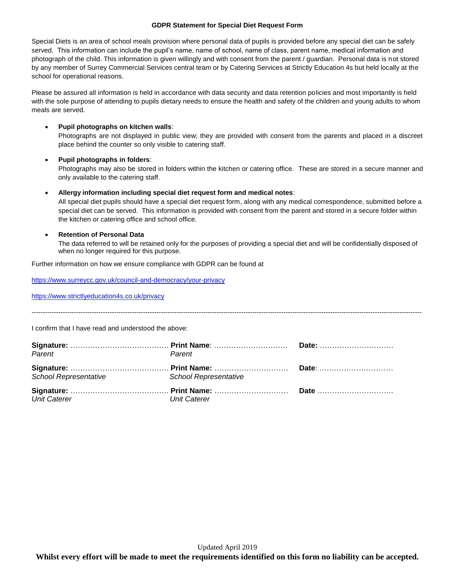#### **GDPR Statement for Special Diet Request Form**

Special Diets is an area of school meals provision where personal data of pupils is provided before any special diet can be safely served. This information can include the pupil's name, name of school, name of class, parent name, medical information and photograph of the child. This information is given willingly and with consent from the parent / guardian. Personal data is not stored by any member of Surrey Commercial Services central team or by Catering Services at Strictly Education 4s but held locally at the school for operational reasons.

Please be assured all information is held in accordance with data security and data retention policies and most importantly is held with the sole purpose of attending to pupils dietary needs to ensure the health and safety of the children and young adults to whom meals are served.

#### **Pupil photographs on kitchen walls**:

Photographs are not displayed in public view; they are provided with consent from the parents and placed in a discreet place behind the counter so only visible to catering staff.

#### **Pupil photographs in folders**:

Photographs may also be stored in folders within the kitchen or catering office. These are stored in a secure manner and only available to the catering staff.

#### **Allergy information including special diet request form and medical notes**:

All special diet pupils should have a special diet request form, along with any medical correspondence, submitted before a special diet can be served. This information is provided with consent from the parent and stored in a secure folder within the kitchen or catering office and school office.

#### **Retention of Personal Data**

The data referred to will be retained only for the purposes of providing a special diet and will be confidentially disposed of when no longer required for this purpose.

-------------------------------------------------------------------------------------------------------------------------------------------------------------------------------

Further information on how we ensure compliance with GDPR can be found at

<https://www.surreycc.gov.uk/council-and-democracy/your-privacy>

<https://www.strictlyeducation4s.co.uk/privacy>

I confirm that I have read and understood the above:

| Parent                                      | Parent       |  |
|---------------------------------------------|--------------|--|
| School Representative School Representative |              |  |
| <b>Unit Caterer</b>                         | Unit Caterer |  |